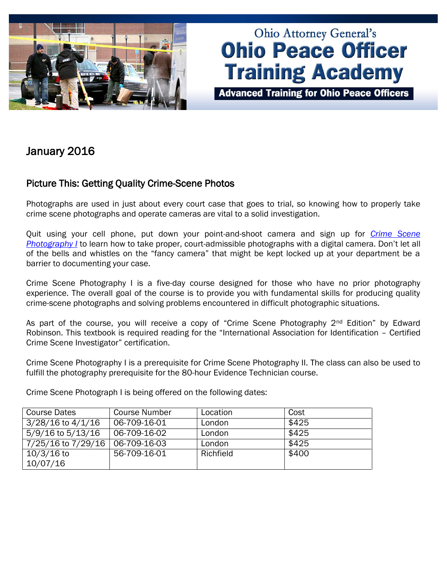

# **Ohio Attorney General's Ohio Peace Officer Training Academy**

**Advanced Training for Ohio Peace Officers** 

## January 2016

## Picture This: Getting Quality Crime-Scene Photos

Photographs are used in just about every court case that goes to trial, so knowing how to properly take crime scene photographs and operate cameras are vital to a solid investigation.

Quit using your cell phone, put down your point-and-shoot camera and sign up for *[Crime Scene](http://www.ohioattorneygeneral.gov/Law-Enforcement/Ohio-Peace-Officer-Training-Academy/Course-Catalog/Course-Categories/Photography-Courses/Crime-Scene-Photography-I)  [Photography I](http://www.ohioattorneygeneral.gov/Law-Enforcement/Ohio-Peace-Officer-Training-Academy/Course-Catalog/Course-Categories/Photography-Courses/Crime-Scene-Photography-I)* to learn how to take proper, court-admissible photographs with a digital camera. Don't let all of the bells and whistles on the "fancy camera" that might be kept locked up at your department be a barrier to documenting your case.

Crime Scene Photography I is a five-day course designed for those who have no prior photography experience. The overall goal of the course is to provide you with fundamental skills for producing quality crime-scene photographs and solving problems encountered in difficult photographic situations.

As part of the course, you will receive a copy of "Crime Scene Photography 2<sup>nd</sup> Edition" by Edward Robinson. This textbook is required reading for the "International Association for Identification – Certified Crime Scene Investigator" certification.

Crime Scene Photography I is a prerequisite for Crime Scene Photography II. The class can also be used to fulfill the photography prerequisite for the 80-hour Evidence Technician course.

Crime Scene Photograph I is being offered on the following dates:

| Course Dates          | Course Number | Location  | Cost  |
|-----------------------|---------------|-----------|-------|
| $3/28/16$ to $4/1/16$ | 06-709-16-01  | London    | \$425 |
| 5/9/16 to 5/13/16     | 06-709-16-02  | London    | \$425 |
| 7/25/16 to 7/29/16    | 06-709-16-03  | London    | \$425 |
| $10/3/16$ to          | 56-709-16-01  | Richfield | \$400 |
| 10/07/16              |               |           |       |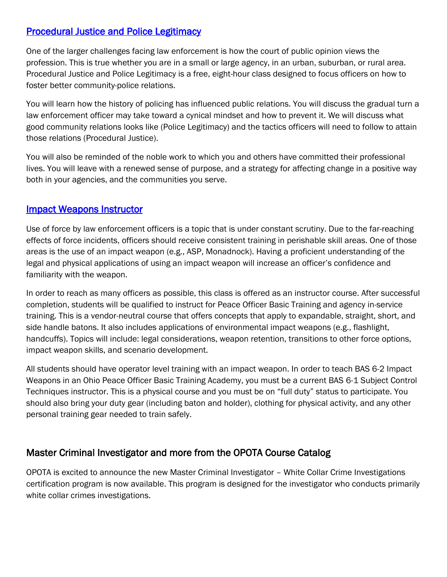## [Procedural Justice and Police Legitimacy](http://www.ohioattorneygeneral.gov/Law-Enforcement/Ohio-Peace-Officer-Training-Academy/Course-Catalog/Course-Categories/Human-Relations-Courses/Procedural-Justice-and-Police-Legitimacy)

One of the larger challenges facing law enforcement is how the court of public opinion views the profession. This is true whether you are in a small or large agency, in an urban, suburban, or rural area. Procedural Justice and Police Legitimacy is a free, eight-hour class designed to focus officers on how to foster better community-police relations.

You will learn how the history of policing has influenced public relations. You will discuss the gradual turn a law enforcement officer may take toward a cynical mindset and how to prevent it. We will discuss what good community relations looks like (Police Legitimacy) and the tactics officers will need to follow to attain those relations (Procedural Justice).

You will also be reminded of the noble work to which you and others have committed their professional lives. You will leave with a renewed sense of purpose, and a strategy for affecting change in a positive way both in your agencies, and the communities you serve.

#### [Impact Weapons Instructor](http://www.ohioattorneygeneral.gov/Law-Enforcement/Ohio-Peace-Officer-Training-Academy/Course-Catalog/Course-Categories/Instructor-Training-Courses/Impact-Weapons-Instructor)

Use of force by law enforcement officers is a topic that is under constant scrutiny. Due to the far-reaching effects of force incidents, officers should receive consistent training in perishable skill areas. One of those areas is the use of an impact weapon (e.g., ASP, Monadnock). Having a proficient understanding of the legal and physical applications of using an impact weapon will increase an officer's confidence and familiarity with the weapon.

In order to reach as many officers as possible, this class is offered as an instructor course. After successful completion, students will be qualified to instruct for Peace Officer Basic Training and agency in-service training. This is a vendor-neutral course that offers concepts that apply to expandable, straight, short, and side handle batons. It also includes applications of environmental impact weapons (e.g., flashlight, handcuffs). Topics will include: legal considerations, weapon retention, transitions to other force options, impact weapon skills, and scenario development.

All students should have operator level training with an impact weapon. In order to teach BAS 6-2 Impact Weapons in an Ohio Peace Officer Basic Training Academy, you must be a current BAS 6-1 Subject Control Techniques instructor. This is a physical course and you must be on "full duty" status to participate. You should also bring your duty gear (including baton and holder), clothing for physical activity, and any other personal training gear needed to train safely.

## Master Criminal Investigator and more from the OPOTA Course Catalog

OPOTA is excited to announce the new Master Criminal Investigator – White Collar Crime Investigations certification program is now available. This program is designed for the investigator who conducts primarily white collar crimes investigations.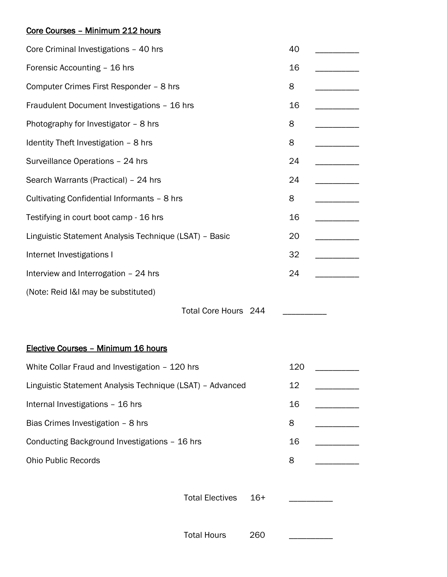## Core Courses – Minimum 212 hours

| Core Criminal Investigations - 40 hrs                     |       |                      |                                                                                                           |
|-----------------------------------------------------------|-------|----------------------|-----------------------------------------------------------------------------------------------------------|
| Forensic Accounting - 16 hrs                              |       |                      |                                                                                                           |
| Computer Crimes First Responder - 8 hrs                   |       |                      |                                                                                                           |
| Fraudulent Document Investigations - 16 hrs               |       |                      |                                                                                                           |
| Photography for Investigator - 8 hrs                      |       |                      |                                                                                                           |
| Identity Theft Investigation - 8 hrs                      |       |                      |                                                                                                           |
| Surveillance Operations - 24 hrs                          |       |                      |                                                                                                           |
| Search Warrants (Practical) - 24 hrs                      |       |                      |                                                                                                           |
| Cultivating Confidential Informants - 8 hrs               |       |                      |                                                                                                           |
| Testifying in court boot camp - 16 hrs                    |       |                      |                                                                                                           |
| Linguistic Statement Analysis Technique (LSAT) - Basic    |       |                      |                                                                                                           |
| Internet Investigations I                                 |       |                      |                                                                                                           |
| Interview and Interrogation - 24 hrs                      |       |                      |                                                                                                           |
|                                                           |       |                      |                                                                                                           |
|                                                           |       |                      |                                                                                                           |
|                                                           |       |                      |                                                                                                           |
|                                                           |       |                      |                                                                                                           |
| White Collar Fraud and Investigation - 120 hrs            |       |                      |                                                                                                           |
| Linguistic Statement Analysis Technique (LSAT) - Advanced |       |                      |                                                                                                           |
| Internal Investigations - 16 hrs                          |       |                      |                                                                                                           |
| Bias Crimes Investigation - 8 hrs                         |       |                      |                                                                                                           |
| Conducting Background Investigations - 16 hrs             |       |                      |                                                                                                           |
| <b>Ohio Public Records</b>                                |       |                      |                                                                                                           |
|                                                           |       |                      |                                                                                                           |
| <b>Total Electives</b>                                    | $16+$ |                      |                                                                                                           |
|                                                           |       |                      |                                                                                                           |
| <b>Total Hours</b>                                        | 260   |                      |                                                                                                           |
|                                                           |       | Total Core Hours 244 | 40<br>16<br>8<br>16<br>8<br>8<br>24<br>24<br>8<br>16<br>20<br>32<br>24<br>120<br>12<br>16<br>8<br>16<br>8 |